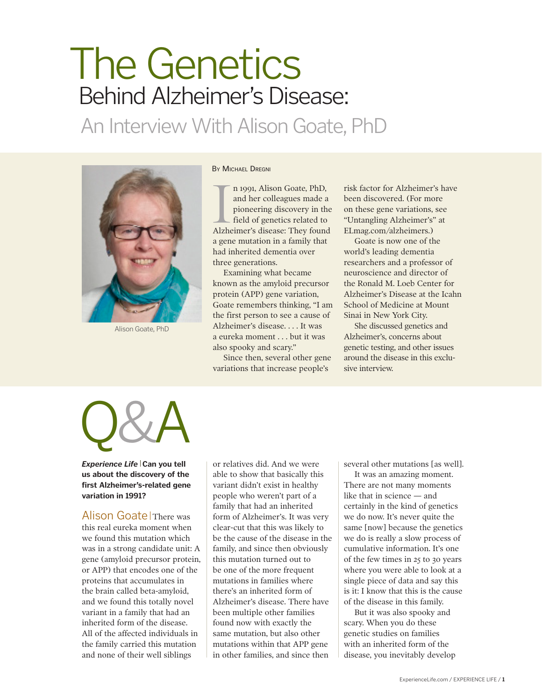# The Genetics Behind Alzheimer's Disease:

An Interview With Alison Goate, PhD



Alison Goate, PhD

#### By Michael Dregni

n 1991, Alison Goate, PhD,<br>and her colleagues made a<br>pioneering discovery in the<br>field of genetics related to<br>Alzheimer's disease: They found n 1991, Alison Goate, PhD, and her colleagues made a pioneering discovery in the field of genetics related to a gene mutation in a family that had inherited dementia over three generations.

Examining what became known as the amyloid precursor protein (APP) gene variation, Goate remembers thinking, "I am the first person to see a cause of Alzheimer's disease. . . . It was a eureka moment . . . but it was also spooky and scary."

Since then, several other gene variations that increase people's

risk factor for Alzheimer's have been discovered. (For more on these gene variations, see "Untangling Alzheimer's" at ELmag.com/alzheimers.)

Goate is now one of the world's leading dementia researchers and a professor of neuroscience and director of the Ronald M. Loeb Center for Alzheimer's Disease at the Icahn School of Medicine at Mount Sinai in New York City.

She discussed genetics and Alzheimer's, concerns about genetic testing, and other issues around the disease in this exclusive interview.

Q&A

*Experience Life* Can you tell **us about the discovery of the first Alzheimer's-related gene variation in 1991?**

Alison Goate There was this real eureka moment when we found this mutation which was in a strong candidate unit: A gene (amyloid precursor protein, or APP) that encodes one of the proteins that accumulates in the brain called beta-amyloid, and we found this totally novel variant in a family that had an inherited form of the disease. All of the affected individuals in the family carried this mutation and none of their well siblings

or relatives did. And we were able to show that basically this variant didn't exist in healthy people who weren't part of a family that had an inherited form of Alzheimer's. It was very clear-cut that this was likely to be the cause of the disease in the family, and since then obviously this mutation turned out to be one of the more frequent mutations in families where there's an inherited form of Alzheimer's disease. There have been multiple other families found now with exactly the same mutation, but also other mutations within that APP gene in other families, and since then

several other mutations [as well].

It was an amazing moment. There are not many moments like that in science — and certainly in the kind of genetics we do now. It's never quite the same [now] because the genetics we do is really a slow process of cumulative information. It's one of the few times in 25 to 30 years where you were able to look at a single piece of data and say this is it: I know that this is the cause of the disease in this family.

But it was also spooky and scary. When you do these genetic studies on families with an inherited form of the disease, you inevitably develop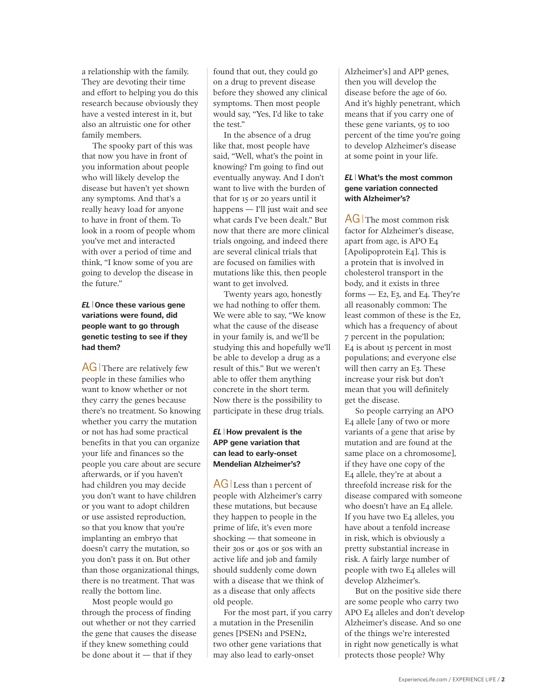a relationship with the family. They are devoting their time and effort to helping you do this research because obviously they have a vested interest in it, but also an altruistic one for other family members.

The spooky part of this was that now you have in front of you information about people who will likely develop the disease but haven't yet shown any symptoms. And that's a really heavy load for anyone to have in front of them. To look in a room of people whom you've met and interacted with over a period of time and think, "I know some of you are going to develop the disease in the future."

## *EL* **Once these various gene variations were found, did people want to go through genetic testing to see if they had them?**

 $AG$  There are relatively few people in these families who want to know whether or not they carry the genes because there's no treatment. So knowing whether you carry the mutation or not has had some practical benefits in that you can organize your life and finances so the people you care about are secure afterwards, or if you haven't had children you may decide you don't want to have children or you want to adopt children or use assisted reproduction, so that you know that you're implanting an embryo that doesn't carry the mutation, so you don't pass it on. But other than those organizational things, there is no treatment. That was really the bottom line.

Most people would go through the process of finding out whether or not they carried the gene that causes the disease if they knew something could be done about it — that if they

found that out, they could go on a drug to prevent disease before they showed any clinical symptoms. Then most people would say, "Yes, I'd like to take the test."

In the absence of a drug like that, most people have said, "Well, what's the point in knowing? I'm going to find out eventually anyway. And I don't want to live with the burden of that for 15 or 20 years until it happens — I'll just wait and see what cards I've been dealt." But now that there are more clinical trials ongoing, and indeed there are several clinical trials that are focused on families with mutations like this, then people want to get involved.

Twenty years ago, honestly we had nothing to offer them. We were able to say, "We know what the cause of the disease in your family is, and we'll be studying this and hopefully we'll be able to develop a drug as a result of this." But we weren't able to offer them anything concrete in the short term. Now there is the possibility to participate in these drug trials.

## *EL* **How prevalent is the APP gene variation that can lead to early-onset Mendelian Alzheimer's?**

AG Less than 1 percent of people with Alzheimer's carry these mutations, but because they happen to people in the prime of life, it's even more shocking — that someone in their 30s or 40s or 50s with an active life and job and family should suddenly come down with a disease that we think of as a disease that only affects old people.

For the most part, if you carry a mutation in the Presenilin genes [PSEN1 and PSEN2, two other gene variations that may also lead to early-onset

Alzheimer's] and APP genes, then you will develop the disease before the age of 60. And it's highly penetrant, which means that if you carry one of these gene variants, 95 to 100 percent of the time you're going to develop Alzheimer's disease at some point in your life.

## *EL* **What's the most common gene variation connected with Alzheimer's?**

AG The most common risk factor for Alzheimer's disease, apart from age, is APO E4 [Apolipoprotein E4]. This is a protein that is involved in cholesterol transport in the body, and it exists in three forms  $-$  E<sub>2</sub>, E<sub>3</sub>, and E<sub>4</sub>. They're all reasonably common: The least common of these is the E2, which has a frequency of about 7 percent in the population; E4 is about 15 percent in most populations; and everyone else will then carry an E3. These increase your risk but don't mean that you will definitely get the disease.

So people carrying an APO E4 allele [any of two or more variants of a gene that arise by mutation and are found at the same place on a chromosome], if they have one copy of the E4 allele, they're at about a threefold increase risk for the disease compared with someone who doesn't have an E4 allele. If you have two E4 alleles, you have about a tenfold increase in risk, which is obviously a pretty substantial increase in risk. A fairly large number of people with two E4 alleles will develop Alzheimer's.

But on the positive side there are some people who carry two APO E4 alleles and don't develop Alzheimer's disease. And so one of the things we're interested in right now genetically is what protects those people? Why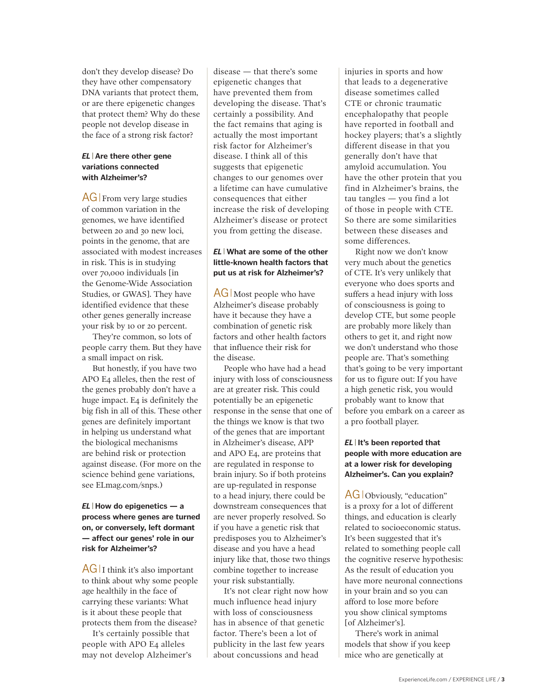don't they develop disease? Do they have other compensatory DNA variants that protect them, or are there epigenetic changes that protect them? Why do these people not develop disease in the face of a strong risk factor?

### *EL* **Are there other gene variations connected with Alzheimer's?**

AG From very large studies of common variation in the genomes, we have identified between 20 and 30 new loci, points in the genome, that are associated with modest increases in risk. This is in studying over 70,000 individuals [in the Genome-Wide Association Studies, or GWAS]. They have identified evidence that these other genes generally increase your risk by 10 or 20 percent.

They're common, so lots of people carry them. But they have a small impact on risk.

But honestly, if you have two APO E4 alleles, then the rest of the genes probably don't have a huge impact. E4 is definitely the big fish in all of this. These other genes are definitely important in helping us understand what the biological mechanisms are behind risk or protection against disease. (For more on the science behind gene variations, see ELmag.com/snps.)

*EL* **How do epigenetics — a process where genes are turned on, or conversely, left dormant — affect our genes' role in our risk for Alzheimer's?**

 $AG$  I think it's also important to think about why some people age healthily in the face of carrying these variants: What is it about these people that protects them from the disease?

It's certainly possible that people with APO E4 alleles may not develop Alzheimer's disease — that there's some epigenetic changes that have prevented them from developing the disease. That's certainly a possibility. And the fact remains that aging is actually the most important risk factor for Alzheimer's disease. I think all of this suggests that epigenetic changes to our genomes over a lifetime can have cumulative consequences that either increase the risk of developing Alzheimer's disease or protect you from getting the disease.

## *EL* **What are some of the other little-known health factors that put us at risk for Alzheimer's?**

 $AG$  Most people who have Alzheimer's disease probably have it because they have a combination of genetic risk factors and other health factors that influence their risk for the disease.

People who have had a head injury with loss of consciousness are at greater risk. This could potentially be an epigenetic response in the sense that one of the things we know is that two of the genes that are important in Alzheimer's disease, APP and APO E4, are proteins that are regulated in response to brain injury. So if both proteins are up-regulated in response to a head injury, there could be downstream consequences that are never properly resolved. So if you have a genetic risk that predisposes you to Alzheimer's disease and you have a head injury like that, those two things combine together to increase your risk substantially.

It's not clear right now how much influence head injury with loss of consciousness has in absence of that genetic factor. There's been a lot of publicity in the last few years about concussions and head

injuries in sports and how that leads to a degenerative disease sometimes called CTE or chronic traumatic encephalopathy that people have reported in football and hockey players; that's a slightly different disease in that you generally don't have that amyloid accumulation. You have the other protein that you find in Alzheimer's brains, the tau tangles — you find a lot of those in people with CTE. So there are some similarities between these diseases and some differences.

Right now we don't know very much about the genetics of CTE. It's very unlikely that everyone who does sports and suffers a head injury with loss of consciousness is going to develop CTE, but some people are probably more likely than others to get it, and right now we don't understand who those people are. That's something that's going to be very important for us to figure out: If you have a high genetic risk, you would probably want to know that before you embark on a career as a pro football player.

## *EL* **It's been reported that people with more education are at a lower risk for developing Alzheimer's. Can you explain?**

AG Obviously, "education" is a proxy for a lot of different things, and education is clearly related to socioeconomic status. It's been suggested that it's related to something people call the cognitive reserve hypothesis: As the result of education you have more neuronal connections in your brain and so you can afford to lose more before you show clinical symptoms [of Alzheimer's].

There's work in animal models that show if you keep mice who are genetically at